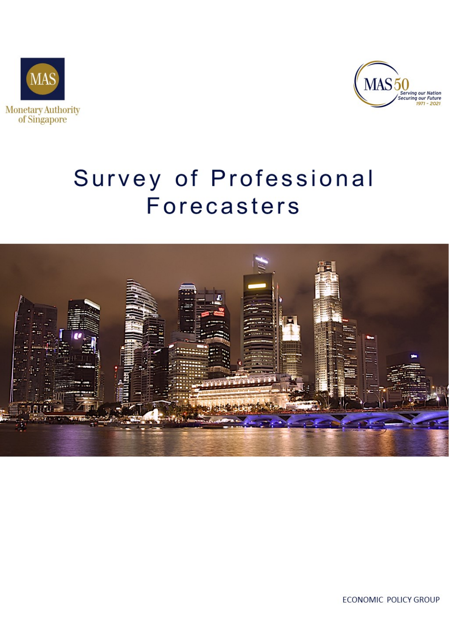



# Survey of Professional Forecasters

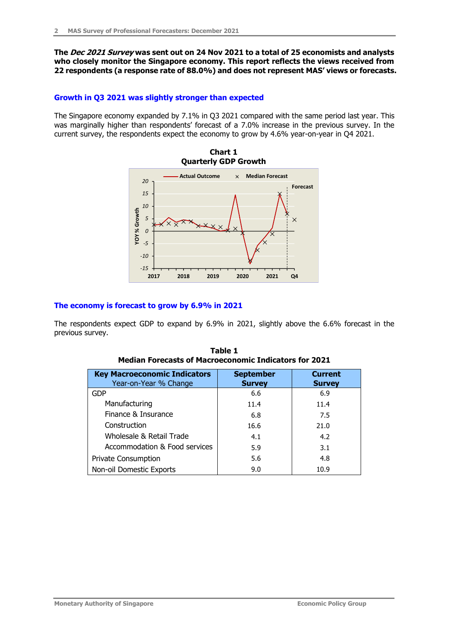**The Dec 2021 Survey was sent out on 24 Nov 2021 to a total of 25 economists and analysts who closely monitor the Singapore economy. This report reflects the views received from 22 respondents (a response rate of 88.0%) and does not represent MAS' views or forecasts.**

### **Growth in Q3 2021 was slightly stronger than expected**

The Singapore economy expanded by 7.1% in Q3 2021 compared with the same period last year. This was marginally higher than respondents' forecast of a 7.0% increase in the previous survey. In the current survey, the respondents expect the economy to grow by 4.6% year-on-year in Q4 2021.



#### **The economy is forecast to grow by 6.9% in 2021**

The respondents expect GDP to expand by 6.9% in 2021, slightly above the 6.6% forecast in the previous survey.

| <b>Key Macroeconomic Indicators</b> | <b>September</b> | <b>Current</b> |  |  |  |  |  |  |
|-------------------------------------|------------------|----------------|--|--|--|--|--|--|
| Year-on-Year % Change               | <b>Survey</b>    | <b>Survey</b>  |  |  |  |  |  |  |
| <b>GDP</b>                          | 6.6              | 6.9            |  |  |  |  |  |  |
| Manufacturing                       | 11.4             | 11.4           |  |  |  |  |  |  |
| Finance & Insurance                 | 6.8              | 7.5            |  |  |  |  |  |  |
| Construction                        | 16.6             | 21.0           |  |  |  |  |  |  |
| Wholesale & Retail Trade            | 4.1              | 4.2            |  |  |  |  |  |  |
| Accommodation & Food services       | 5.9              | 3.1            |  |  |  |  |  |  |
| <b>Private Consumption</b>          | 5.6              | 4.8            |  |  |  |  |  |  |
| Non-oil Domestic Exports            | 9.0              | 10.9           |  |  |  |  |  |  |

**Table 1 Median Forecasts of Macroeconomic Indicators for 2021**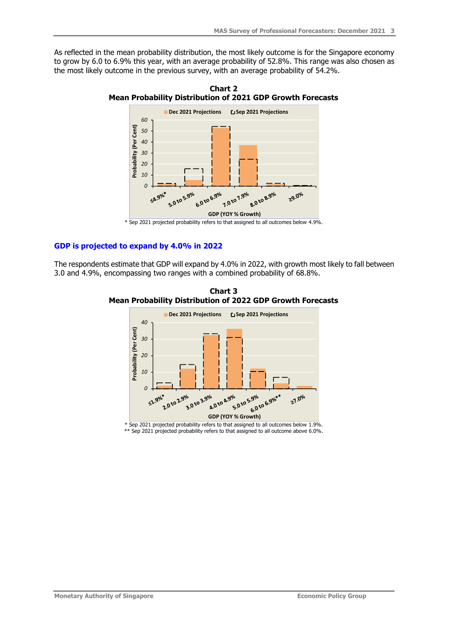As reflected in the mean probability distribution, the most likely outcome is for the Singapore economy to grow by 6.0 to 6.9% this year, with an average probability of 52.8%. This range was also chosen as the most likely outcome in the previous survey, with an average probability of 54.2%.



**Chart 2 Mean Probability Distribution of 2021 GDP Growth Forecasts**

### **GDP is projected to expand by 4.0% in 2022**

The respondents estimate that GDP will expand by 4.0% in 2022, with growth most likely to fall between 3.0 and 4.9%, encompassing two ranges with a combined probability of 68.8%.



**Chart 3 Mean Probability Distribution of 2022 GDP Growth Forecasts**

\* Sep 2021 projected probability refers to that assigned to all outcomes below 1.9%. \*\* Sep 2021 projected probability refers to that assigned to all outcome above 6.0%.

<sup>\*</sup> Sep 2021 projected probability refers to that assigned to all outcomes below 4.9%.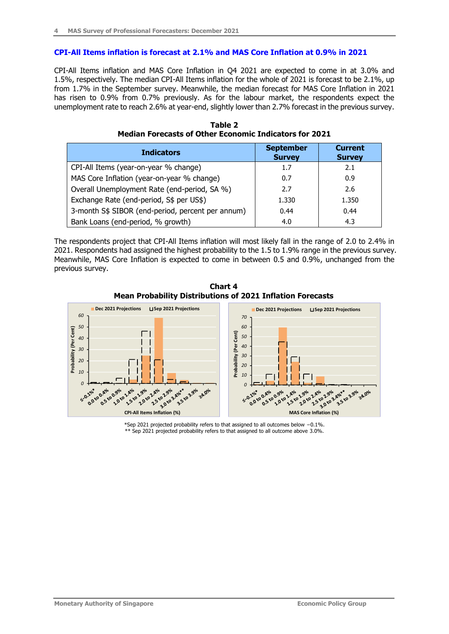#### **CPI-All Items inflation is forecast at 2.1% and MAS Core Inflation at 0.9% in 2021**

CPI-All Items inflation and MAS Core Inflation in Q4 2021 are expected to come in at 3.0% and 1.5%, respectively. The median CPI-All Items inflation for the whole of 2021 is forecast to be 2.1%, up from 1.7% in the September survey. Meanwhile, the median forecast for MAS Core Inflation in 2021 has risen to 0.9% from 0.7% previously. As for the labour market, the respondents expect the unemployment rate to reach 2.6% at year-end, slightly lower than 2.7% forecast in the previous survey.

| <b>Indicators</b>                                 | <b>September</b><br><b>Survey</b> | <b>Current</b><br><b>Survey</b> |
|---------------------------------------------------|-----------------------------------|---------------------------------|
| CPI-All Items (year-on-year % change)             | 1.7                               | 2.1                             |
| MAS Core Inflation (year-on-year % change)        | 0.7                               | 0.9                             |
| Overall Unemployment Rate (end-period, SA %)      | 2.7                               | 2.6                             |
| Exchange Rate (end-period, S\$ per US\$)          | 1.330                             | 1.350                           |
| 3-month S\$ SIBOR (end-period, percent per annum) | 0.44                              | 0.44                            |
| Bank Loans (end-period, % growth)                 | 4.0                               | 4.3                             |

**Table 2 Median Forecasts of Other Economic Indicators for 2021**

The respondents project that CPI-All Items inflation will most likely fall in the range of 2.0 to 2.4% in 2021. Respondents had assigned the highest probability to the 1.5 to 1.9% range in the previous survey. Meanwhile, MAS Core Inflation is expected to come in between 0.5 and 0.9%, unchanged from the previous survey.



**Chart 4**

\*Sep 2021 projected probability refers to that assigned to all outcomes below −0.1%. \*\* Sep 2021 projected probability refers to that assigned to all outcome above 3.0%.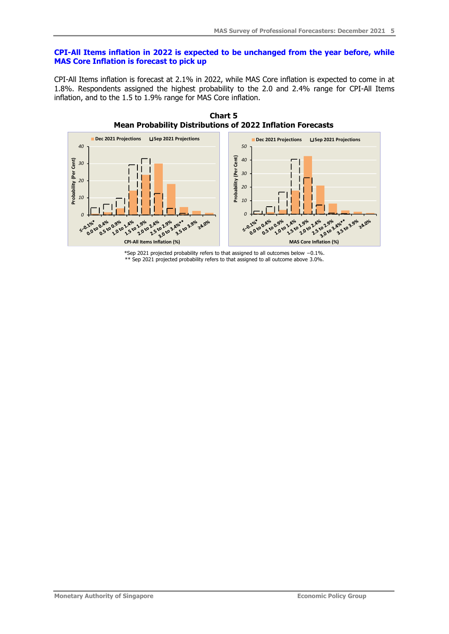#### **CPI-All Items inflation in 2022 is expected to be unchanged from the year before, while MAS Core Inflation is forecast to pick up**

CPI-All Items inflation is forecast at 2.1% in 2022, while MAS Core inflation is expected to come in at 1.8%. Respondents assigned the highest probability to the 2.0 and 2.4% range for CPI-All Items inflation, and to the 1.5 to 1.9% range for MAS Core inflation.

**Chart 5**



\*Sep 2021 projected probability refers to that assigned to all outcomes below −0.1%. \*\* Sep 2021 projected probability refers to that assigned to all outcome above 3.0%.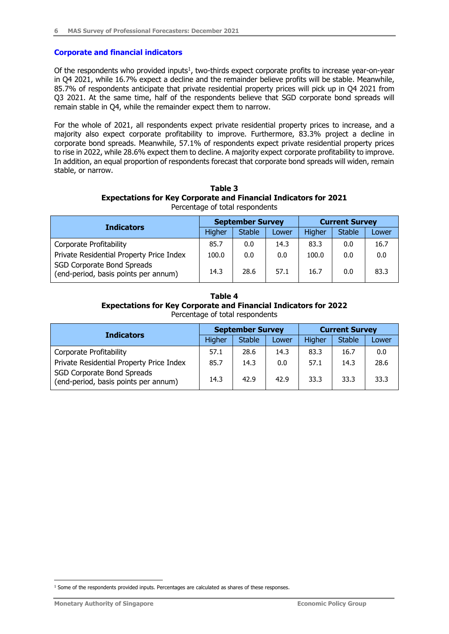#### **Corporate and financial indicators**

Of the respondents who provided inputs<sup>1</sup>, two-thirds expect corporate profits to increase year-on-year in Q4 2021, while 16.7% expect a decline and the remainder believe profits will be stable. Meanwhile, 85.7% of respondents anticipate that private residential property prices will pick up in Q4 2021 from Q3 2021. At the same time, half of the respondents believe that SGD corporate bond spreads will remain stable in Q4, while the remainder expect them to narrow.

For the whole of 2021, all respondents expect private residential property prices to increase, and a majority also expect corporate profitability to improve. Furthermore, 83.3% project a decline in corporate bond spreads. Meanwhile, 57.1% of respondents expect private residential property prices to rise in 2022, while 28.6% expect them to decline. A majority expect corporate profitability to improve. In addition, an equal proportion of respondents forecast that corporate bond spreads will widen, remain stable, or narrow.

| Table 3                                                                 |  |  |  |  |  |  |
|-------------------------------------------------------------------------|--|--|--|--|--|--|
| <b>Expectations for Key Corporate and Financial Indicators for 2021</b> |  |  |  |  |  |  |
| Percentage of total respondents                                         |  |  |  |  |  |  |

|                                                                    |               | <b>September Survey</b> |       | <b>Current Survey</b> |               |       |  |
|--------------------------------------------------------------------|---------------|-------------------------|-------|-----------------------|---------------|-------|--|
| <b>Indicators</b>                                                  | <b>Higher</b> | <b>Stable</b>           | Lower | Higher                | <b>Stable</b> | Lower |  |
| Corporate Profitability                                            | 85.7          | 0.0                     | 14.3  | 83.3                  | 0.0           | 16.7  |  |
| Private Residential Property Price Index                           | 100.0         | 0.0                     | 0.0   | 100.0                 | 0.0           | 0.0   |  |
| SGD Corporate Bond Spreads<br>(end-period, basis points per annum) | 14.3          | 28.6                    | 57.1  | 16.7                  | 0.0           | 83.3  |  |

#### **Table 4 Expectations for Key Corporate and Financial Indicators for 2022** Percentage of total respondents

| <b>Indicators</b>                                                         |        | <b>September Survey</b> |       | <b>Current Survey</b> |               |       |  |
|---------------------------------------------------------------------------|--------|-------------------------|-------|-----------------------|---------------|-------|--|
|                                                                           | Higher | <b>Stable</b>           | Lower | Higher                | <b>Stable</b> | Lower |  |
| Corporate Profitability                                                   | 57.1   | 28.6                    | 14.3  | 83.3                  | 16.7          | 0.0   |  |
| Private Residential Property Price Index                                  | 85.7   | 14.3                    | 0.0   | 57.1                  | 14.3          | 28.6  |  |
| <b>SGD Corporate Bond Spreads</b><br>(end-period, basis points per annum) | 14.3   | 42.9                    | 42.9  | 33.3                  | 33.3          | 33.3  |  |

<sup>&</sup>lt;sup>1</sup> Some of the respondents provided inputs. Percentages are calculated as shares of these responses.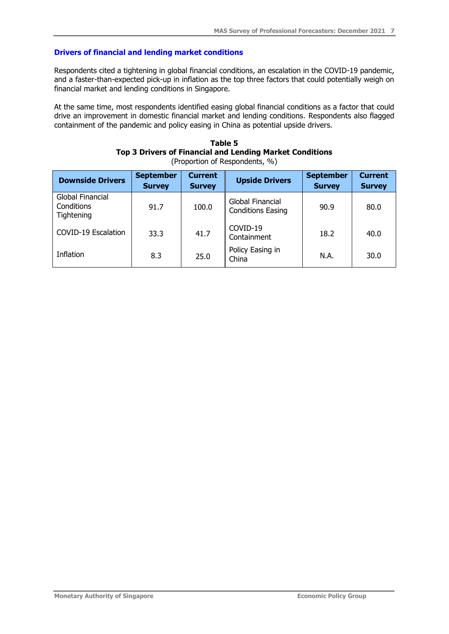#### **Drivers of financial and lending market conditions**

Respondents cited a tightening in global financial conditions, an escalation in the COVID-19 pandemic, and a faster-than-expected pick-up in inflation as the top three factors that could potentially weigh on financial market and lending conditions in Singapore.

At the same time, most respondents identified easing global financial conditions as a factor that could drive an improvement in domestic financial market and lending conditions. Respondents also flagged containment of the pandemic and policy easing in China as potential upside drivers.

| Table 5                                                  |
|----------------------------------------------------------|
| Top 3 Drivers of Financial and Lending Market Conditions |
| (Proportion of Respondents, %)                           |

| <b>Downside Drivers</b>                      | <b>September</b><br><b>Survey</b> | <b>Current</b><br><b>Survey</b> | <b>Upside Drivers</b>                        | <b>September</b><br><b>Survey</b> | <b>Current</b><br><b>Survey</b> |
|----------------------------------------------|-----------------------------------|---------------------------------|----------------------------------------------|-----------------------------------|---------------------------------|
| Global Financial<br>Conditions<br>Tightening | 91.7                              | 100.0                           | Global Financial<br><b>Conditions Easing</b> | 90.9                              | 80.0                            |
| <b>COVID-19 Escalation</b>                   | 33.3                              | 41.7                            | COVID-19<br>Containment                      | 18.2                              | 40.0                            |
| <b>Inflation</b>                             | 8.3                               | 25.0                            | Policy Easing in<br>China                    | N.A.                              | 30.0                            |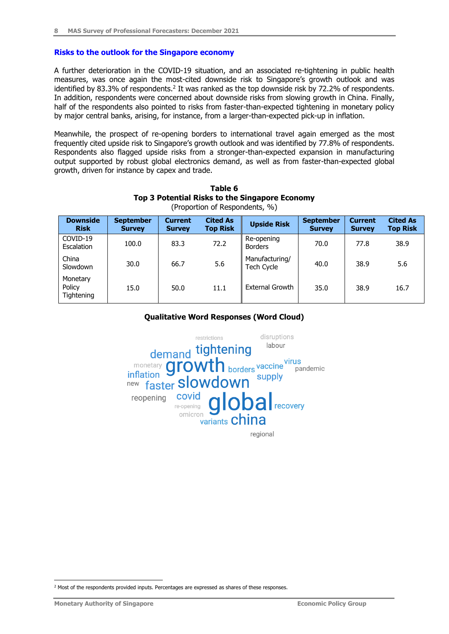#### **Risks to the outlook for the Singapore economy**

A further deterioration in the COVID-19 situation, and an associated re-tightening in public health measures, was once again the most-cited downside risk to Singapore's growth outlook and was identified by 83.3% of respondents.<sup>2</sup> It was ranked as the top downside risk by 72.2% of respondents. In addition, respondents were concerned about downside risks from slowing growth in China. Finally, half of the respondents also pointed to risks from faster-than-expected tightening in monetary policy by major central banks, arising, for instance, from a larger-than-expected pick-up in inflation.

Meanwhile, the prospect of re-opening borders to international travel again emerged as the most frequently cited upside risk to Singapore's growth outlook and was identified by 77.8% of respondents. Respondents also flagged upside risks from a stronger-than-expected expansion in manufacturing output supported by robust global electronics demand, as well as from faster-than-expected global growth, driven for instance by capex and trade.

|                                  | (FIUDULIUII UI RESPUTIUEIILS, 70) |                                 |                                    |                              |                                   |                                 |                                    |  |
|----------------------------------|-----------------------------------|---------------------------------|------------------------------------|------------------------------|-----------------------------------|---------------------------------|------------------------------------|--|
| <b>Downside</b><br><b>Risk</b>   | <b>September</b><br><b>Survey</b> | <b>Current</b><br><b>Survey</b> | <b>Cited As</b><br><b>Top Risk</b> | <b>Upside Risk</b>           | <b>September</b><br><b>Survey</b> | <b>Current</b><br><b>Survey</b> | <b>Cited As</b><br><b>Top Risk</b> |  |
| COVID-19<br>Escalation           | 100.0                             | 83.3                            | 72.2                               | Re-opening<br><b>Borders</b> | 70.0                              | 77.8                            | 38.9                               |  |
| China<br>Slowdown                | 30.0                              | 66.7                            | 5.6                                | Manufacturing/<br>Tech Cycle | 40.0                              | 38.9                            | 5.6                                |  |
| Monetary<br>Policy<br>Tightening | 15.0                              | 50.0                            | 11.1                               | <b>External Growth</b>       | 35.0                              | 38.9                            | 16.7                               |  |

#### **Table 6 Top 3 Potential Risks to the Singapore Economy**  $(Dronortion of Doenondonto  $0/\lambda$ )$

#### **Qualitative Word Responses (Word Cloud)**



<sup>&</sup>lt;sup>2</sup> Most of the respondents provided inputs. Percentages are expressed as shares of these responses.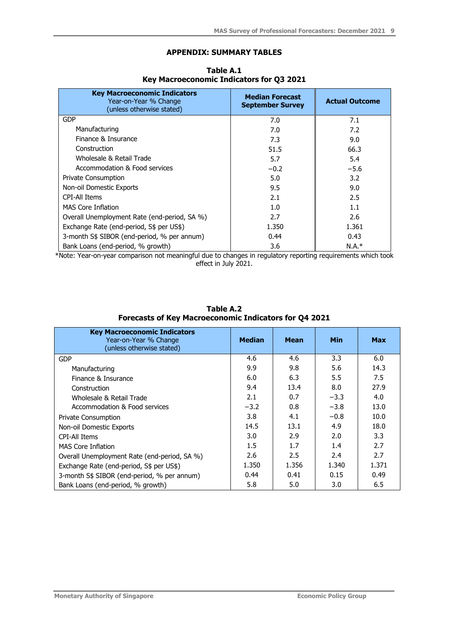## **APPENDIX: SUMMARY TABLES**

| <b>Key Macroeconomic Indicators</b><br>Year-on-Year % Change<br>(unless otherwise stated) | <b>Median Forecast</b><br><b>September Survey</b> | <b>Actual Outcome</b> |
|-------------------------------------------------------------------------------------------|---------------------------------------------------|-----------------------|
| <b>GDP</b>                                                                                | 7.0                                               | 7.1                   |
| Manufacturing                                                                             | 7.0                                               | 7.2                   |
| Finance & Insurance                                                                       | 7.3                                               | 9.0                   |
| Construction                                                                              | 51.5                                              | 66.3                  |
| Wholesale & Retail Trade                                                                  | 5.7                                               | 5.4                   |
| Accommodation & Food services                                                             | $-0.2$                                            | $-5.6$                |
| <b>Private Consumption</b>                                                                | 5.0                                               | 3.2                   |
| Non-oil Domestic Exports                                                                  | 9.5                                               | 9.0                   |
| CPI-All Items                                                                             | 2.1                                               | 2.5                   |
| <b>MAS Core Inflation</b>                                                                 | 1.0                                               | 1.1                   |
| Overall Unemployment Rate (end-period, SA %)                                              | 2.7                                               | 2.6                   |
| Exchange Rate (end-period, S\$ per US\$)                                                  | 1.350                                             | 1.361                 |
| 3-month S\$ SIBOR (end-period, % per annum)                                               | 0.44                                              | 0.43                  |
| Bank Loans (end-period, % growth)                                                         | 3.6                                               | $N.A.*$               |

## **Table A.1 Key Macroeconomic Indicators for Q3 2021**

\*Note: Year-on-year comparison not meaningful due to changes in regulatory reporting requirements which took effect in July 2021.

| Table A.2                                             |
|-------------------------------------------------------|
| Forecasts of Key Macroeconomic Indicators for Q4 2021 |

| <b>Key Macroeconomic Indicators</b><br>Year-on-Year % Change<br>(unless otherwise stated) | <b>Median</b> | <b>Mean</b> | <b>Min</b> | <b>Max</b> |
|-------------------------------------------------------------------------------------------|---------------|-------------|------------|------------|
| <b>GDP</b>                                                                                | 4.6           | 4.6         | 3.3        | 6.0        |
| Manufacturing                                                                             | 9.9           | 9.8         | 5.6        | 14.3       |
| Finance & Insurance                                                                       | 6.0           | 6.3         | 5.5        | 7.5        |
| Construction                                                                              | 9.4           | 13.4        | 8.0        | 27.9       |
| Wholesale & Retail Trade                                                                  | 2.1           | 0.7         | $-3.3$     | 4.0        |
| Accommodation & Food services                                                             | $-3.2$        | 0.8         | $-3.8$     | 13.0       |
| <b>Private Consumption</b>                                                                | 3.8           | 4.1         | $-0.8$     | 10.0       |
| Non-oil Domestic Exports                                                                  | 14.5          | 13.1        | 4.9        | 18.0       |
| <b>CPI-All Items</b>                                                                      | 3.0           | 2.9         | 2.0        | 3.3        |
| <b>MAS Core Inflation</b>                                                                 | 1.5           | 1.7         | 1.4        | 2.7        |
| Overall Unemployment Rate (end-period, SA %)                                              | 2.6           | 2.5         | 2.4        | 2.7        |
| Exchange Rate (end-period, S\$ per US\$)                                                  | 1.350         | 1.356       | 1.340      | 1.371      |
| 3-month S\$ SIBOR (end-period, % per annum)                                               | 0.44          | 0.41        | 0.15       | 0.49       |
| Bank Loans (end-period, % growth)                                                         | 5.8           | 5.0         | 3.0        | 6.5        |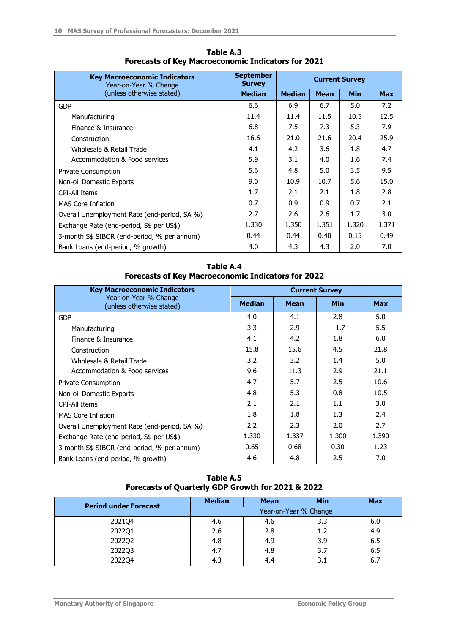| <b>Key Macroeconomic Indicators</b><br>Year-on-Year % Change | <b>September</b><br><b>Survey</b> | <b>Current Survey</b> |             |       |            |
|--------------------------------------------------------------|-----------------------------------|-----------------------|-------------|-------|------------|
| (unless otherwise stated)                                    | <b>Median</b>                     | <b>Median</b>         | <b>Mean</b> | Min   | <b>Max</b> |
| <b>GDP</b>                                                   | 6.6                               | 6.9                   | 6.7         | 5.0   | 7.2        |
| Manufacturing                                                | 11.4                              | 11.4                  | 11.5        | 10.5  | 12.5       |
| Finance & Insurance                                          | 6.8                               | 7.5                   | 7.3         | 5.3   | 7.9        |
| Construction                                                 | 16.6                              | 21.0                  | 21.6        | 20.4  | 25.9       |
| Wholesale & Retail Trade                                     | 4.1                               | 4.2                   | 3.6         | 1.8   | 4.7        |
| Accommodation & Food services                                | 5.9                               | 3.1                   | 4.0         | 1.6   | 7.4        |
| <b>Private Consumption</b>                                   | 5.6                               | 4.8                   | 5.0         | 3.5   | 9.5        |
| Non-oil Domestic Exports                                     | 9.0                               | 10.9                  | 10.7        | 5.6   | 15.0       |
| CPI-All Items                                                | 1.7                               | 2.1                   | 2.1         | 1.8   | 2.8        |
| <b>MAS Core Inflation</b>                                    | 0.7                               | 0.9                   | 0.9         | 0.7   | 2.1        |
| Overall Unemployment Rate (end-period, SA %)                 | 2.7                               | 2.6                   | 2.6         | 1.7   | 3.0        |
| Exchange Rate (end-period, S\$ per US\$)                     | 1.330                             | 1.350                 | 1.351       | 1.320 | 1.371      |
| 3-month S\$ SIBOR (end-period, % per annum)                  | 0.44                              | 0.44                  | 0.40        | 0.15  | 0.49       |
| Bank Loans (end-period, % growth)                            | 4.0                               | 4.3                   | 4.3         | 2.0   | 7.0        |

**Table A.3 Forecasts of Key Macroeconomic Indicators for 2021**

**Table A.4 Forecasts of Key Macroeconomic Indicators for 2022**

| <b>Key Macroeconomic Indicators</b>                | <b>Current Survey</b> |             |            |            |
|----------------------------------------------------|-----------------------|-------------|------------|------------|
| Year-on-Year % Change<br>(unless otherwise stated) | <b>Median</b>         | <b>Mean</b> | <b>Min</b> | <b>Max</b> |
| <b>GDP</b>                                         | 4.0                   | 4.1         | 2.8        | 5.0        |
| Manufacturing                                      | 3.3                   | 2.9         | $-1.7$     | 5.5        |
| Finance & Insurance                                | 4.1                   | 4.2         | 1.8        | 6.0        |
| Construction                                       | 15.8                  | 15.6        | 4.5        | 21.8       |
| Wholesale & Retail Trade                           | 3.2                   | 3.2         | 1.4        | 5.0        |
| Accommodation & Food services                      | 9.6                   | 11.3        | 2.9        | 21.1       |
| Private Consumption                                | 4.7                   | 5.7         | 2.5        | 10.6       |
| Non-oil Domestic Exports                           | 4.8                   | 5.3         | 0.8        | 10.5       |
| CPI-All Items                                      | 2.1                   | 2.1         | 1.1        | 3.0        |
| <b>MAS Core Inflation</b>                          | 1.8                   | 1.8         | 1.3        | 2.4        |
| Overall Unemployment Rate (end-period, SA %)       | 2.2                   | 2.3         | 2.0        | 2.7        |
| Exchange Rate (end-period, S\$ per US\$)           | 1.330                 | 1.337       | 1.300      | 1.390      |
| 3-month S\$ SIBOR (end-period, % per annum)        | 0.65                  | 0.68        | 0.30       | 1.23       |
| Bank Loans (end-period, % growth)                  | 4.6                   | 4.8         | 2.5        | 7.0        |

**Table A.5 Forecasts of Quarterly GDP Growth for 2021 & 2022**

| <b>Period under Forecast</b> | <b>Median</b>         | <b>Mean</b> | <b>Min</b> | <b>Max</b> |  |
|------------------------------|-----------------------|-------------|------------|------------|--|
|                              | Year-on-Year % Change |             |            |            |  |
| 2021Q4                       | 4.6                   | 4.6         | 3.3        | 6.0        |  |
| 2022Q1                       | 2.6                   | 2.8         | 1.2        | 4.9        |  |
| 2022Q2                       | 4.8                   | 4.9         | 3.9        | 6.5        |  |
| 2022Q3                       | 4.7                   | 4.8         | 3.7        | 6.5        |  |
| 2022Q4                       | 4.3                   | 4.4         | 3.1        | 6.7        |  |